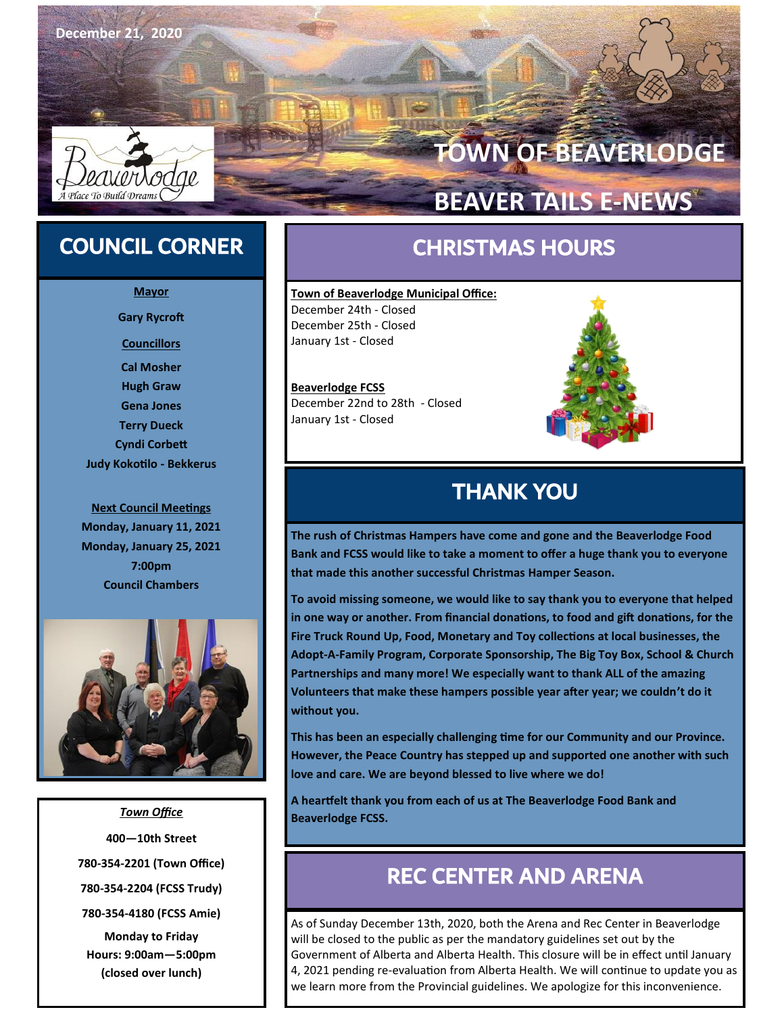

# **TOWN OF BEAVERLODGE**

# **BEAVER TAILS E-NEWS**

# COUNCIL CORNER

**Mayor Gary Rycroft Councillors Cal Mosher Hugh Graw Gena Jones Terry Dueck Cyndi Corbett Judy Kokotilo - Bekkerus**

**Next Council Meetings Monday, January 11, 2021 Monday, January 25, 2021 7:00pm Council Chambers**



*Town Office* **400—10th Street 780-354-2201 (Town Office) 780-354-2204 (FCSS Trudy) 780-354-4180 (FCSS Amie) Monday to Friday Hours: 9:00am—5:00pm (closed over lunch)**

# CHRISTMAS HOURS

**Town of Beaverlodge Municipal Office:**  December 24th - Closed December 25th - Closed January 1st - Closed

**Beaverlodge FCSS** December 22nd to 28th - Closed January 1st - Closed



# THANK YOU

**The rush of Christmas Hampers have come and gone and the Beaverlodge Food Bank and FCSS would like to take a moment to offer a huge thank you to everyone that made this another successful Christmas Hamper Season.** 

**To avoid missing someone, we would like to say thank you to everyone that helped in one way or another. From financial donations, to food and gift donations, for the Fire Truck Round Up, Food, Monetary and Toy collections at local businesses, the Adopt-A-Family Program, Corporate Sponsorship, The Big Toy Box, School & Church Partnerships and many more! We especially want to thank ALL of the amazing Volunteers that make these hampers possible year after year; we couldn't do it without you.** 

**This has been an especially challenging time for our Community and our Province. However, the Peace Country has stepped up and supported one another with such love and care. We are beyond blessed to live where we do!**

**A heartfelt thank you from each of us at The Beaverlodge Food Bank and Beaverlodge FCSS.**

# REC CENTER AND ARENA

As of Sunday December 13th, 2020, both the Arena and Rec Center in Beaverlodge will be closed to the public as per the mandatory guidelines set out by the Government of Alberta and Alberta Health. This closure will be in effect until January 4, 2021 pending re-evaluation from Alberta Health. We will continue to update you as we learn more from the Provincial guidelines. We apologize for this inconvenience.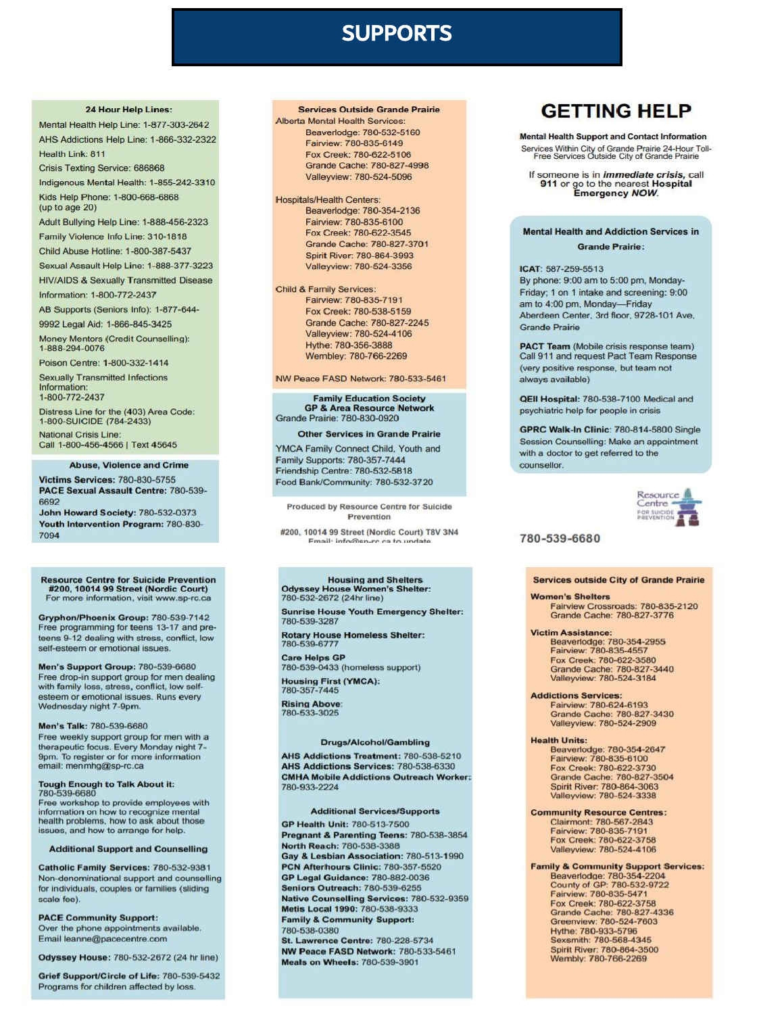# **SUPPORTS**

### 24 Hour Help Lines:

Mental Health Help Line: 1-877-303-2642 AHS Addictions Help Line: 1-866-332-2322 Health Link: 811

Crisis Texting Service: 686868

Indigenous Mental Health: 1-855-242-3310 Kids Help Phone: 1-800-668-6868 (up to age 20)

Adult Bullying Help Line: 1-888-456-2323

Family Violence Info Line: 310-1818

Child Abuse Hotline: 1-800-387-5437

Sexual Assault Help Line: 1-888-377-3223 **HIV/AIDS & Sexually Transmitted Disease** 

Information: 1-800-772-2437

AB Supports (Seniors Info): 1-877-644-

9992 Legal Aid: 1-866-845-3425

Money Mentors (Credit Counselling): 1-888-294-0076

Poison Centre: 1-800-332-1414

**Sexually Transmitted Infections** Information: 1-800-772-2437

Distress Line for the (403) Area Code:<br>1-800-SUICIDE (784-2433) National Crisis Line:

Call 1-800-456-4566 | Text 45645

### **Abuse, Violence and Crime**

**Victims Services: 780-830-5755** PACE Sexual Assault Centre: 780-539-6692

John Howard Society: 780-532-0373 Youth Intervention Program: 780-830-7094

### Resource Centre for Suicide Prevention<br>#200, 10014 99 Street (Nordic Court) For more information, visit www.sp-rc.ca

Gryphon/Phoenix Group: 780-539-7142 Free programming for teens 13-17 and preteens 9-12 dealing with stress, conflict, low self-esteem or emotional issues

Men's Support Group: 780-539-6680 Free drop-in support group for men dealing with family loss, stress, conflict, low selfesteem or emotional issues. Runs every Wednesday night 7-9pm.

### Men's Talk: 780-539-6680

Free weekly support group for men with a therapeutic focus. Every Monday night 7-9pm. To register or for more information<br>email: menmhg@sp-rc.ca

### **Tough Enough to Talk About it:** 780-539-6680

Free workshop to provide employees with information on how to recognize mental health problems, how to ask about those issues, and how to arrange for help.

### **Additional Support and Counselling**

Catholic Family Services: 780-532-9381 Non-denominational support and counselling for individuals, couples or families (sliding scale fee).

**PACE Community Support:** Over the phone appointments available. Email leanne@pacecentre.com

Odyssey House: 780-532-2672 (24 hr line)

Grief Support/Circle of Life: 780-539-5432 Programs for children affected by loss

### **Services Outside Grande Prairie**

Alberta Mental Health Services Beaverlodge: 780-532-5160 Fairview: 780-835-6149 Fox Creek: 780-622-5106 Grande Cache: 780-827-4998 Valleyview: 780-524-5096

**Hospitals/Health Centers:** Beaverlodge: 780-354-2136 Fairview: 780-835-6100 Fox Creek: 780-622-3545 Grande Cache: 780-827-3701 Spirit River: 780-864-3993 Valleyview: 780-524-3356

### **Child & Family Services:**

Fairview: 780-835-7191 Fox Creek: 780-538-5159 Grande Cache: 780-827-2245 Valleyview: 780-524-4106 Hythe: 780-356-3888 Wembley: 780-766-2269

### NW Peace FASD Network: 780-533-5461

**Family Education Society<br>GP & Area Resource Network** Grande Prairie: 780-830-0920

### **Other Services in Grande Prairie**

YMCA Family Connect Child, Youth and Family Supports: 780-357-7444 Friendship Centre: 780-532-5818 Food Bank/Community: 780-532-3720

Produced by Resource Centre for Suicide Prevention

#200, 10014 99 Street (Nordic Court) T8V 3N4 mail: info@si

### **Housing and Shelters** Odyssey House Women's Shelter:<br>780-532-2672 (24hr line)

**Sunrise House Youth Emergency Shelter:** 780-539-3287

Rotary House Homeless Shelter:<br>780-539-6777

Care Helps GP<br>780-539-0433 (homeless support) **Housing First (YMCA):**<br>780-357-7445

**Rising Above:** 780-533-3025

### **Drugs/Alcohol/Gambling**

AHS Addictions Treatment: 780-538-5210 AHS Addictions Services: 780-538-6330 **CMHA Mobile Addictions Outreach Worker:** 780-933-2224

### **Additional Services/Supports**

GP Health Unit: 780-513-7500 Pregnant & Parenting Teens: 780-538-3854 North Reach: 780-538-3388 Gay & Lesbian Association: 780-513-1990 PCN Afterhours Clinic: 780-357-5520 **GP Legal Guidance: 780-882-0036** Seniors Outreach: 780-539-6255 Native Counselling Services: 780-532-9359 Metis Local 1990: 780-538-9333 **Family & Community Support:** 780-538-0380 St. Lawrence Centre: 780-228-5734

NW Peace FASD Network: 780-533-5461 **Meals on Wheels: 780-539-3901** 

## **GETTING HELP**

**Mental Health Support and Contact Information** Services Within City of Grande Prairie 24-Hour Toll-<br>Free Services Outside City of Grande Prairie

If someone is in *immediate crisis*, call<br>911 or go to the nearest **Hospital**<br>Emergency *NOW*.

### **Mental Health and Addiction Services in Grande Prairie:**

### ICAT: 587-259-5513

By phone: 9:00 am to 5:00 pm, Monday-Friday; 1 on 1 intake and screening: 9:00 am to 4:00 pm, Monday-Friday Aberdeen Center, 3rd floor, 9728-101 Ave, **Grande Prairie** 

**PACT Team** (Mobile crisis response team) Call 911 and request Pact Team Response (very positive response, but team not always available)

QEII Hospital: 780-538-7100 Medical and psychiatric help for people in crisis

GPRC Walk-In Clinic: 780-814-5800 Single Session Counselling: Make an appointment with a doctor to get referred to the counsellor.



### 780-539-6680

### **Services outside City of Grande Prairie**

**Women's Shelters** Fairview Crossroads: 780-835-2120

Grande Cache: 780-827-3776

Victim Assistance:<br>Beaverlodge: 780-354-2955<br>Fairview: 780-835-4557 Fox Creek: 780-622-3580 Grande Cache: 780-827-3440<br>Valleyview: 780-524-3184

**Addictions Services:** Fairview: 780-624-6193 Grande Cache: 780-827-3430 Valleyview: 780-524-2909

### **Health Units:**

Beaverlodge: 780-354-2647<br>Fairview: 780-835-6100 Fox Creek: 780-622-3730 Grande Cache: 780-827-3504<br>Spirit River: 780-864-3063<br>Valleyview: 780-524-3338

**Community Resource Centres:** Clairmont: 780-567-2843 Fairview: 780-835-7191 Fox Creek: 780-622-3758<br>Valleyview: 780-524-4106

**Family & Community Support Services:** 

Beaverlodge: 780-354-2204<br>County of GP: 780-532-9722<br>Fairview: 780-835-5471 Fox Creek: 780-622-3758 Grande Cache: 780-827-4336<br>Greenview: 780-524-7603<br>Hythe: 780-933-5796 Sexsmith: 780-568-4345 Spirit River: 780-864-3500 Wembly: 780-766-2269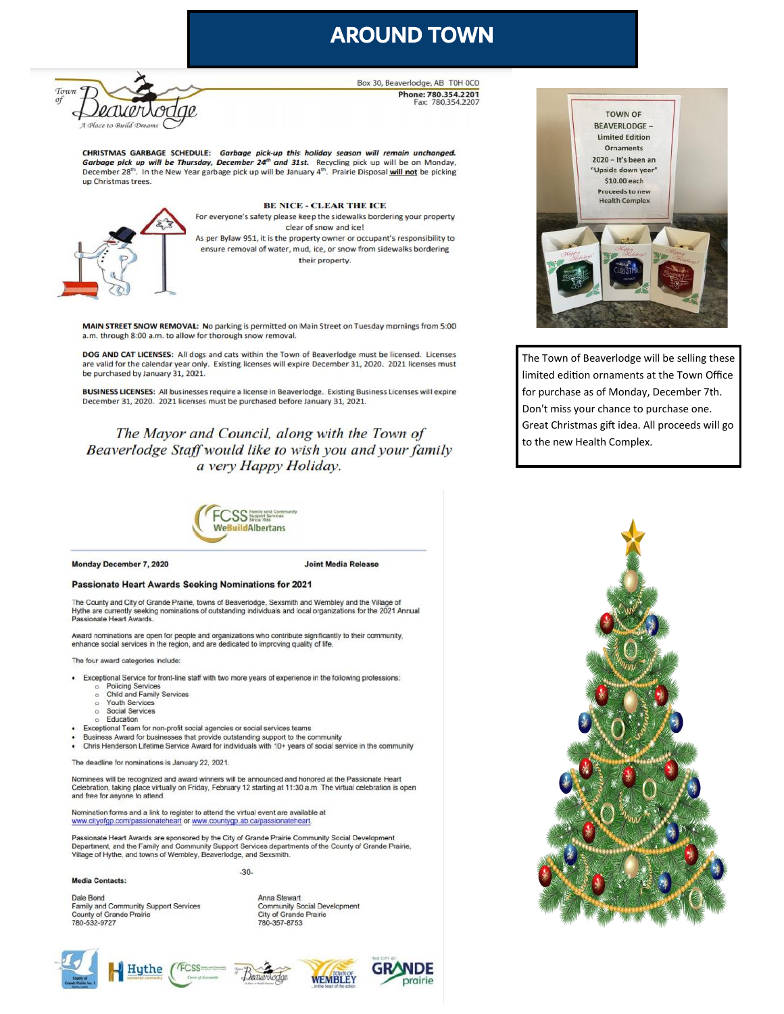# **AROUND TOWN**



Box 30, Beaverlodge, AB T0H 0C0 Phone: 780.354.2201 Fax: 780.354.2207

CHRISTMAS GARBAGE SCHEDULE: Garbage pick-up this holiday season will remain unchanged. Garbage pick up will be Thursday, December 24<sup>th</sup> and 31st. Recycling pick up will be on Monday, December 28<sup>th</sup>. In the New Year garbage pick up will be January 4<sup>th</sup>. Prairie Disposal will not be picking un Christmas trees



**BE NICE - CLEAR THE ICE** For everyone's safety please keep the sidewalks bordering your property clear of snow and ice! As per Bylaw 951, it is the property owner or occupant's responsibility to ensure removal of water, mud, ice, or snow from sidewalks bordering their property.

MAIN STREET SNOW REMOVAL: No parking is permitted on Main Street on Tuesday mornings from 5:00 a.m. through 8:00 a.m. to allow for thorough snow removal.

DOG AND CAT LICENSES: All dogs and cats within the Town of Beaverlodge must be licensed. Licenses are valid for the calendar year only. Existing licenses will expire December 31, 2020. 2021 licenses must be purchased by January 31, 2021.

BUSINESS LICENSES: All businesses require a license in Beaverlodge. Existing Business Licenses will expire December 31, 2020. 2021 licenses must be purchased before January 31, 2021.

The Mayor and Council, along with the Town of Beaverlodge Staff would like to wish you and your family a very Happy Holiday.



Monday December 7, 2020

### **Joint Media Release**

### Passionate Heart Awards Seeking Nominations for 2021

The County and City of Grande Prairie, towns of Beaverlodge, Sexsmith and Wembley and the Village of Hythe are currently seeking nominations of outstanding individuals and local organizations for the 2021 Annual Passionate Heart Awards.

vard nominations are open for people and organizations who contribute significantly to their community, enhance social services in the region, and are dedicated to improving quality of life.

The four award categories include:

- . Exceptional Service for front-line staff with two more years of experience in the following professions:
	- **Policing Services**
	- Child and Family Services  $\circ$ Youth Services
	- Social Services  $\sim$
	- Education
- Exceptional Team for non-profit social agencies or social services teams
- Business Award for businesses that provide outstanding support to the community
- Chris Henderson Lifetime Service Award for individuals with 10+ years of social service in the community  $\cdot$

The deadline for nominations is January 22, 2021

Nominees will be recognized and award winners will be announced and honored at the Passionate Heart Celebration, taking place virtually on Friday, February 12 starting at 11:30 a.m. The virtual celebration is open and free for anyone to attend.

Nomination forms and a link to register to attend the virtual event are available at www.cityofgp.com/passionateheart or www.countygp.ab.ca/passionateheart.

Passionate Heart Awards are sponsored by the City of Grande Prairie Community Social Development Department, and the Family and Community Support Services departments of the County of Grande Prairie, Village of Hythe, and towns of Wembley, Beaverlodge, and Sexsmith.

 $-30-$ 

**Media Contacts:** 

780-532-9727

Dale Bond

Anna Stewart Family and Community Support Services **Community Social Development City of Grande Prairie** 780-357-8753



County of Grande Prairie









The Town of Beaverlodge will be selling these limited edition ornaments at the Town Office for purchase as of Monday, December 7th. Don't miss your chance to purchase one. Great Christmas gift idea. All proceeds will go to the new Health Complex.